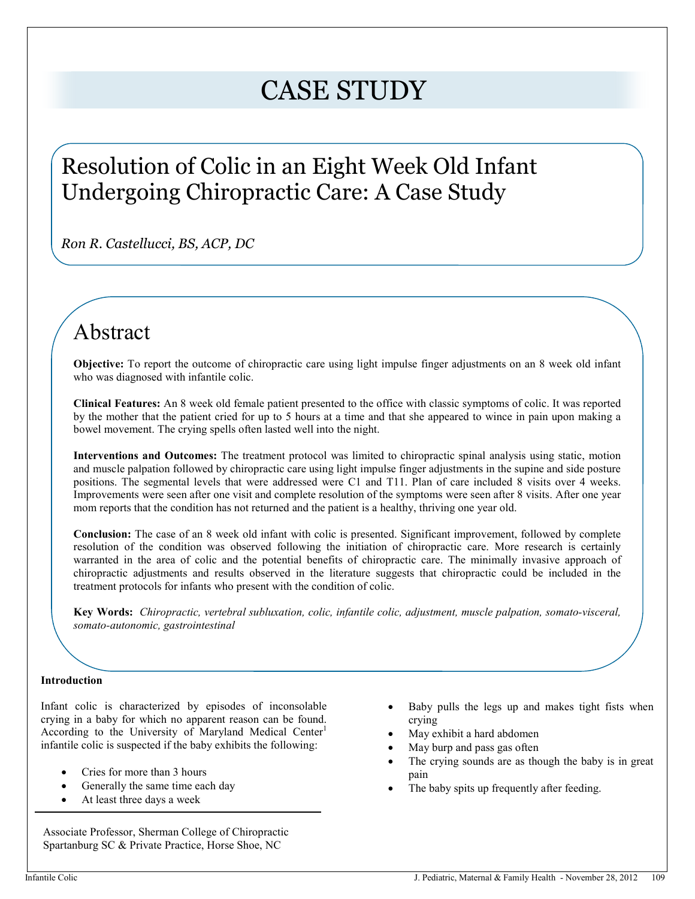# CASE STUDY

# Resolution of Colic in an Eight Week Old Infant Undergoing Chiropractic Care: A Case Study

*Ron R. Castellucci, BS, ACP, DC* 

# Abstract

**Objective:** To report the outcome of chiropractic care using light impulse finger adjustments on an 8 week old infant who was diagnosed with infantile colic.

**Clinical Features:** An 8 week old female patient presented to the office with classic symptoms of colic. It was reported by the mother that the patient cried for up to 5 hours at a time and that she appeared to wince in pain upon making a bowel movement. The crying spells often lasted well into the night.

**Interventions and Outcomes:** The treatment protocol was limited to chiropractic spinal analysis using static, motion and muscle palpation followed by chiropractic care using light impulse finger adjustments in the supine and side posture positions. The segmental levels that were addressed were C1 and T11. Plan of care included 8 visits over 4 weeks. Improvements were seen after one visit and complete resolution of the symptoms were seen after 8 visits. After one year mom reports that the condition has not returned and the patient is a healthy, thriving one year old.

 warranted in the area of colic and the potential benefits of chiropractic care. The minimally invasive approach of **Conclusion:** The case of an 8 week old infant with colic is presented. Significant improvement, followed by complete resolution of the condition was observed following the initiation of chiropractic care. More research is certainly chiropractic adjustments and results observed in the literature suggests that chiropractic could be included in the treatment protocols for infants who present with the condition of colic.

**Key Words:** *Chiropractic, vertebral subluxation, colic, infantile colic, adjustment, muscle palpation, somato-visceral, somato-autonomic, gastrointestinal*

# **Introduction**

Infant colic is characterized by episodes of inconsolable crying in a baby for which no apparent reason can be found. According to the University of Maryland Medical Center<sup>1</sup> infantile colic is suspected if the baby exhibits the following:

- Cries for more than 3 hours
- Generally the same time each day
- At least three days a week

Associate Professor, Sherman College of Chiropractic Spartanburg SC & Private Practice, Horse Shoe, NC

- Baby pulls the legs up and makes tight fists when crying
- May exhibit a hard abdomen
- May burp and pass gas often
- The crying sounds are as though the baby is in great pain
- The baby spits up frequently after feeding.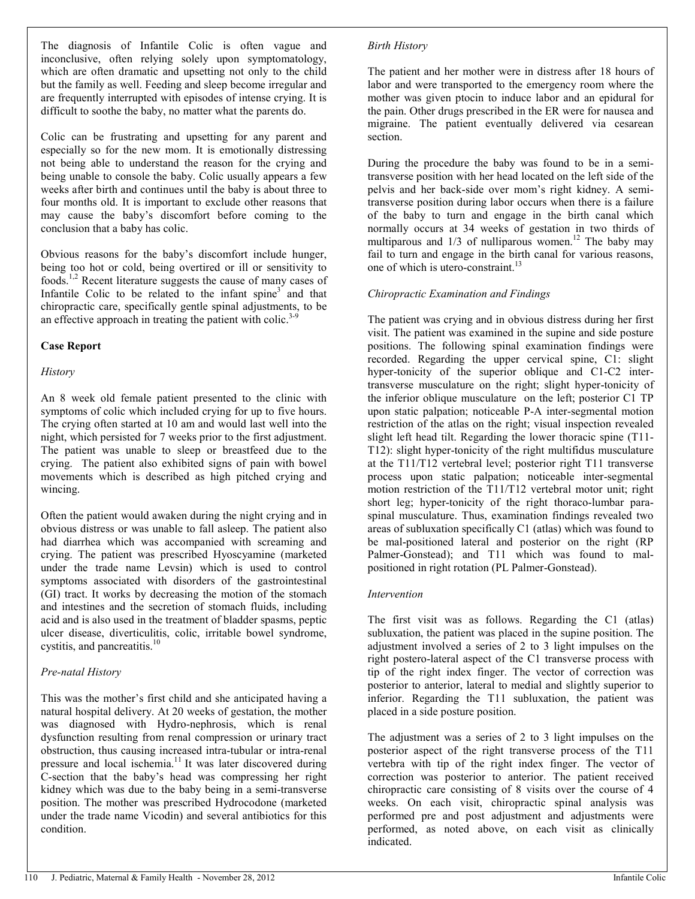The diagnosis of Infantile Colic is often vague and inconclusive, often relying solely upon symptomatology, which are often dramatic and upsetting not only to the child but the family as well. Feeding and sleep become irregular and are frequently interrupted with episodes of intense crying. It is difficult to soothe the baby, no matter what the parents do.

Colic can be frustrating and upsetting for any parent and especially so for the new mom. It is emotionally distressing not being able to understand the reason for the crying and being unable to console the baby. Colic usually appears a few weeks after birth and continues until the baby is about three to four months old. It is important to exclude other reasons that may cause the baby's discomfort before coming to the conclusion that a baby has colic.

Obvious reasons for the baby's discomfort include hunger, being too hot or cold, being overtired or ill or sensitivity to foods.1,2 Recent literature suggests the cause of many cases of Infantile Colic to be related to the infant spine $3$  and that chiropractic care, specifically gentle spinal adjustments, to be an effective approach in treating the patient with colic.<sup>3-9</sup>

# **Case Report**

#### *History*

An 8 week old female patient presented to the clinic with symptoms of colic which included crying for up to five hours. The crying often started at 10 am and would last well into the night, which persisted for 7 weeks prior to the first adjustment. The patient was unable to sleep or breastfeed due to the crying. The patient also exhibited signs of pain with bowel movements which is described as high pitched crying and wincing.

Often the patient would awaken during the night crying and in obvious distress or was unable to fall asleep. The patient also had diarrhea which was accompanied with screaming and crying. The patient was prescribed Hyoscyamine (marketed under the trade name Levsin) which is used to control symptoms associated with disorders of the gastrointestinal (GI) tract. It works by decreasing the motion of the stomach and intestines and the secretion of stomach fluids, including acid and is also used in the treatment of bladder spasms, peptic ulcer disease, diverticulitis, colic, irritable bowel syndrome, cystitis, and pancreatitis.<sup>10</sup>

# *Pre-natal History*

This was the mother's first child and she anticipated having a natural hospital delivery. At 20 weeks of gestation, the mother was diagnosed with Hydro-nephrosis, which is renal dysfunction resulting from renal compression or urinary tract obstruction, thus causing increased intra-tubular or intra-renal pressure and local ischemia.<sup>11</sup> It was later discovered during C-section that the baby's head was compressing her right kidney which was due to the baby being in a semi-transverse position. The mother was prescribed Hydrocodone (marketed under the trade name Vicodin) and several antibiotics for this condition.

#### *Birth History*

The patient and her mother were in distress after 18 hours of labor and were transported to the emergency room where the mother was given ptocin to induce labor and an epidural for the pain. Other drugs prescribed in the ER were for nausea and migraine. The patient eventually delivered via cesarean section.

During the procedure the baby was found to be in a semitransverse position with her head located on the left side of the pelvis and her back-side over mom's right kidney. A semitransverse position during labor occurs when there is a failure of the baby to turn and engage in the birth canal which normally occurs at 34 weeks of gestation in two thirds of multiparous and  $1/3$  of nulliparous women.<sup>12</sup> The baby may fail to turn and engage in the birth canal for various reasons. one of which is utero-constraint.<sup>13</sup>

#### *Chiropractic Examination and Findings*

The patient was crying and in obvious distress during her first visit. The patient was examined in the supine and side posture positions. The following spinal examination findings were recorded. Regarding the upper cervical spine, C1: slight hyper-tonicity of the superior oblique and C1-C2 intertransverse musculature on the right; slight hyper-tonicity of the inferior oblique musculature on the left; posterior C1 TP upon static palpation; noticeable P-A inter-segmental motion restriction of the atlas on the right; visual inspection revealed slight left head tilt. Regarding the lower thoracic spine (T11- T12): slight hyper-tonicity of the right multifidus musculature at the T11/T12 vertebral level; posterior right T11 transverse process upon static palpation; noticeable inter-segmental motion restriction of the T11/T12 vertebral motor unit; right short leg; hyper-tonicity of the right thoraco-lumbar paraspinal musculature. Thus, examination findings revealed two areas of subluxation specifically C1 (atlas) which was found to be mal-positioned lateral and posterior on the right (RP Palmer-Gonstead); and T11 which was found to malpositioned in right rotation (PL Palmer-Gonstead).

#### *Intervention*

The first visit was as follows. Regarding the C1 (atlas) subluxation, the patient was placed in the supine position. The adjustment involved a series of 2 to 3 light impulses on the right postero-lateral aspect of the C1 transverse process with tip of the right index finger. The vector of correction was posterior to anterior, lateral to medial and slightly superior to inferior. Regarding the T11 subluxation, the patient was placed in a side posture position.

The adjustment was a series of 2 to 3 light impulses on the posterior aspect of the right transverse process of the T11 vertebra with tip of the right index finger. The vector of correction was posterior to anterior. The patient received chiropractic care consisting of 8 visits over the course of 4 weeks. On each visit, chiropractic spinal analysis was performed pre and post adjustment and adjustments were performed, as noted above, on each visit as clinically indicated.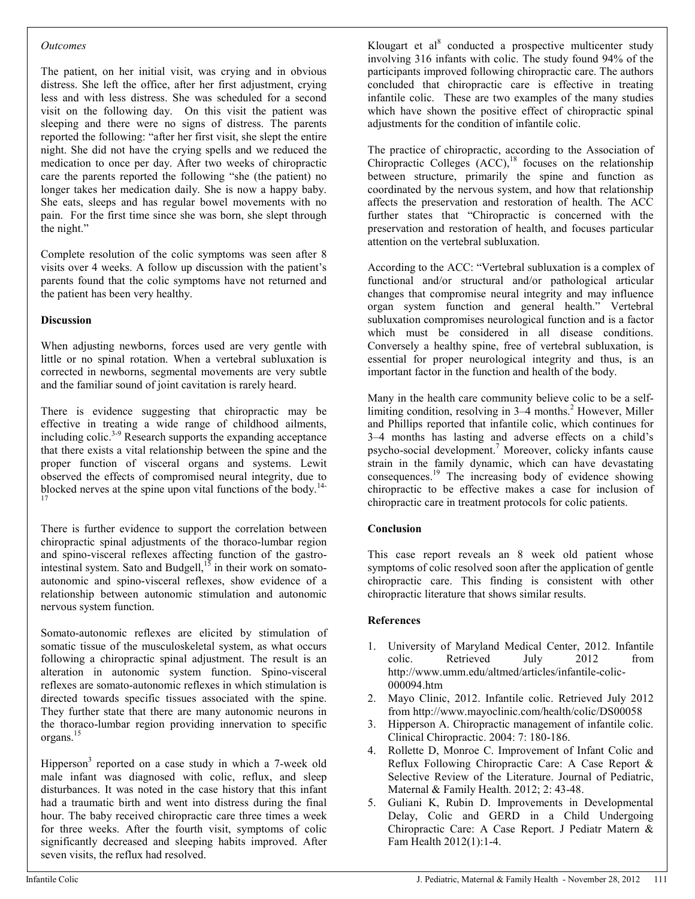#### *Outcomes*

The patient, on her initial visit, was crying and in obvious distress. She left the office, after her first adjustment, crying less and with less distress. She was scheduled for a second visit on the following day. On this visit the patient was sleeping and there were no signs of distress. The parents reported the following: "after her first visit, she slept the entire night. She did not have the crying spells and we reduced the medication to once per day. After two weeks of chiropractic care the parents reported the following "she (the patient) no longer takes her medication daily. She is now a happy baby. She eats, sleeps and has regular bowel movements with no pain. For the first time since she was born, she slept through the night."

Complete resolution of the colic symptoms was seen after 8 visits over 4 weeks. A follow up discussion with the patient's parents found that the colic symptoms have not returned and the patient has been very healthy.

# **Discussion**

When adjusting newborns, forces used are very gentle with little or no spinal rotation. When a vertebral subluxation is corrected in newborns, segmental movements are very subtle and the familiar sound of joint cavitation is rarely heard.

There is evidence suggesting that chiropractic may be effective in treating a wide range of childhood ailments, including colic.<sup>3-9</sup> Research supports the expanding acceptance that there exists a vital relationship between the spine and the proper function of visceral organs and systems. Lewit observed the effects of compromised neural integrity, due to blocked nerves at the spine upon vital functions of the body.14- 17

There is further evidence to support the correlation between chiropractic spinal adjustments of the thoraco-lumbar region and spino-visceral reflexes affecting function of the gastrointestinal system. Sato and Budgell, $15$  in their work on somatoautonomic and spino-visceral reflexes, show evidence of a relationship between autonomic stimulation and autonomic nervous system function.

Somato-autonomic reflexes are elicited by stimulation of somatic tissue of the musculoskeletal system, as what occurs following a chiropractic spinal adjustment. The result is an alteration in autonomic system function. Spino-visceral reflexes are somato-autonomic reflexes in which stimulation is directed towards specific tissues associated with the spine. They further state that there are many autonomic neurons in the thoraco-lumbar region providing innervation to specific organs.<sup>15</sup>

Hipperson<sup>3</sup> reported on a case study in which a 7-week old male infant was diagnosed with colic, reflux, and sleep disturbances. It was noted in the case history that this infant had a traumatic birth and went into distress during the final hour. The baby received chiropractic care three times a week for three weeks. After the fourth visit, symptoms of colic significantly decreased and sleeping habits improved. After seven visits, the reflux had resolved.

Klougart et al<sup>8</sup> conducted a prospective multicenter study involving 316 infants with colic. The study found 94% of the participants improved following chiropractic care. The authors concluded that chiropractic care is effective in treating infantile colic. These are two examples of the many studies which have shown the positive effect of chiropractic spinal adjustments for the condition of infantile colic.

The practice of chiropractic, according to the Association of Chiropractic Colleges  $(ACC)$ ,<sup>18</sup> focuses on the relationship between structure, primarily the spine and function as coordinated by the nervous system, and how that relationship affects the preservation and restoration of health. The ACC further states that "Chiropractic is concerned with the preservation and restoration of health, and focuses particular attention on the vertebral subluxation.

According to the ACC: "Vertebral subluxation is a complex of functional and/or structural and/or pathological articular changes that compromise neural integrity and may influence organ system function and general health." Vertebral subluxation compromises neurological function and is a factor which must be considered in all disease conditions. Conversely a healthy spine, free of vertebral subluxation, is essential for proper neurological integrity and thus, is an important factor in the function and health of the body.

Many in the health care community believe colic to be a selflimiting condition, resolving in 3–4 months.<sup>2</sup> However, Miller and Phillips reported that infantile colic, which continues for 3–4 months has lasting and adverse effects on a child's psycho-social development.<sup>7</sup> Moreover, colicky infants cause strain in the family dynamic, which can have devastating consequences.<sup>19</sup> The increasing body of evidence showing chiropractic to be effective makes a case for inclusion of chiropractic care in treatment protocols for colic patients.

# **Conclusion**

This case report reveals an 8 week old patient whose symptoms of colic resolved soon after the application of gentle chiropractic care. This finding is consistent with other chiropractic literature that shows similar results.

# **References**

- 1. University of Maryland Medical Center, 2012. Infantile colic. Retrieved July 2012 from http://www.umm.edu/altmed/articles/infantile-colic-000094.htm
- 2. Mayo Clinic, 2012. Infantile colic. Retrieved July 2012 from http://www.mayoclinic.com/health/colic/DS00058
- 3. Hipperson A. Chiropractic management of infantile colic. Clinical Chiropractic. 2004: 7: 180-186.
- 4. Rollette D, Monroe C. Improvement of Infant Colic and Reflux Following Chiropractic Care: A Case Report & Selective Review of the Literature. Journal of Pediatric, Maternal & Family Health. 2012; 2: 43-48.
- 5. Guliani K, Rubin D. Improvements in Developmental Delay, Colic and GERD in a Child Undergoing Chiropractic Care: A Case Report. J Pediatr Matern & Fam Health 2012(1):1-4.